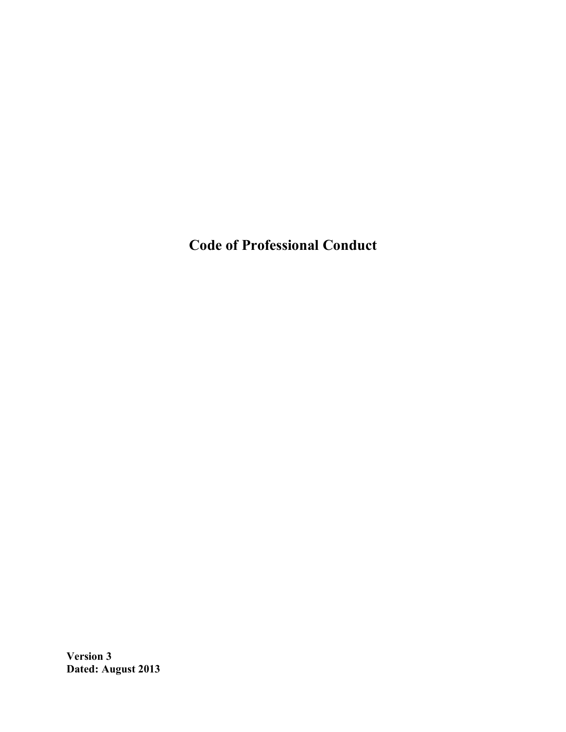**Code of Professional Conduct**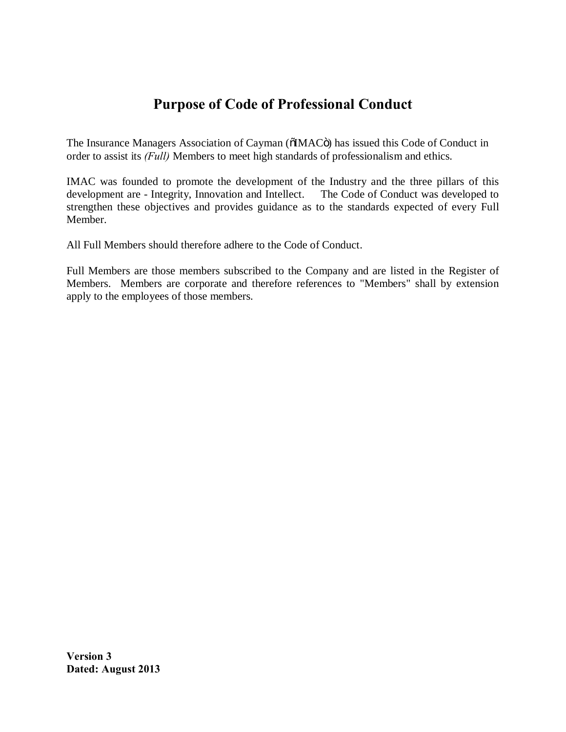# **Purpose of Code of Professional Conduct**

The Insurance Managers Association of Cayman ( $\ddot{\text{o}}$ IMAC $\ddot{\text{o}}$ ) has issued this Code of Conduct in order to assist its *(Full)* Members to meet high standards of professionalism and ethics.

IMAC was founded to promote the development of the Industry and the three pillars of this development are - Integrity, Innovation and Intellect. The Code of Conduct was developed to strengthen these objectives and provides guidance as to the standards expected of every Full Member.

All Full Members should therefore adhere to the Code of Conduct.

Full Members are those members subscribed to the Company and are listed in the Register of Members. Members are corporate and therefore references to "Members" shall by extension apply to the employees of those members.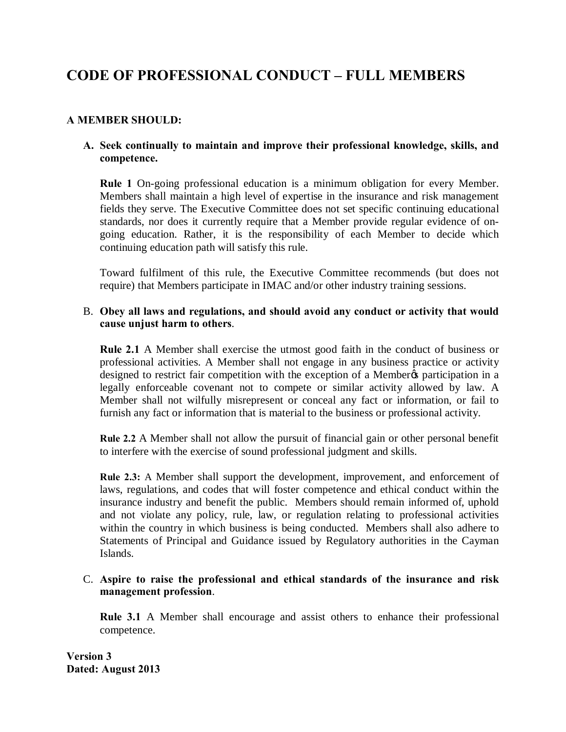# **CODE OF PROFESSIONAL CONDUCT – FULL MEMBERS**

## **A MEMBER SHOULD:**

### **A. Seek continually to maintain and improve their professional knowledge, skills, and competence.**

**Rule 1** On-going professional education is a minimum obligation for every Member. Members shall maintain a high level of expertise in the insurance and risk management fields they serve. The Executive Committee does not set specific continuing educational standards, nor does it currently require that a Member provide regular evidence of ongoing education. Rather, it is the responsibility of each Member to decide which continuing education path will satisfy this rule.

Toward fulfilment of this rule, the Executive Committee recommends (but does not require) that Members participate in IMAC and/or other industry training sessions.

### B. **Obey all laws and regulations, and should avoid any conduct or activity that would cause unjust harm to others**.

**Rule 2.1** A Member shall exercise the utmost good faith in the conduct of business or professional activities. A Member shall not engage in any business practice or activity designed to restrict fair competition with the exception of a Member participation in a legally enforceable covenant not to compete or similar activity allowed by law. A Member shall not wilfully misrepresent or conceal any fact or information, or fail to furnish any fact or information that is material to the business or professional activity.

**Rule 2.2** A Member shall not allow the pursuit of financial gain or other personal benefit to interfere with the exercise of sound professional judgment and skills.

**Rule 2.3:** A Member shall support the development, improvement, and enforcement of laws, regulations, and codes that will foster competence and ethical conduct within the insurance industry and benefit the public. Members should remain informed of, uphold and not violate any policy, rule, law, or regulation relating to professional activities within the country in which business is being conducted. Members shall also adhere to Statements of Principal and Guidance issued by Regulatory authorities in the Cayman Islands.

### C. **Aspire to raise the professional and ethical standards of the insurance and risk management profession**.

**Rule 3.1** A Member shall encourage and assist others to enhance their professional competence.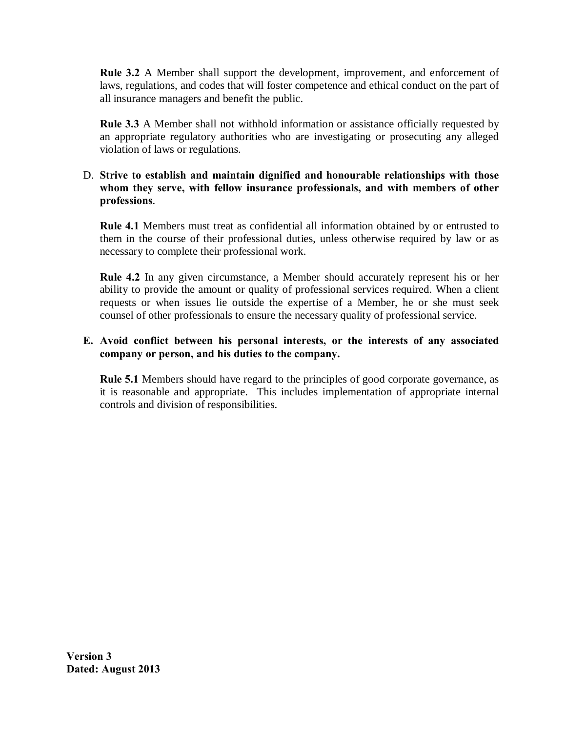**Rule 3.2** A Member shall support the development, improvement, and enforcement of laws, regulations, and codes that will foster competence and ethical conduct on the part of all insurance managers and benefit the public.

**Rule 3.3** A Member shall not withhold information or assistance officially requested by an appropriate regulatory authorities who are investigating or prosecuting any alleged violation of laws or regulations.

### D. **Strive to establish and maintain dignified and honourable relationships with those whom they serve, with fellow insurance professionals, and with members of other professions**.

**Rule 4.1** Members must treat as confidential all information obtained by or entrusted to them in the course of their professional duties, unless otherwise required by law or as necessary to complete their professional work.

**Rule 4.2** In any given circumstance, a Member should accurately represent his or her ability to provide the amount or quality of professional services required. When a client requests or when issues lie outside the expertise of a Member, he or she must seek counsel of other professionals to ensure the necessary quality of professional service.

## **E. Avoid conflict between his personal interests, or the interests of any associated company or person, and his duties to the company.**

**Rule 5.1** Members should have regard to the principles of good corporate governance, as it is reasonable and appropriate. This includes implementation of appropriate internal controls and division of responsibilities.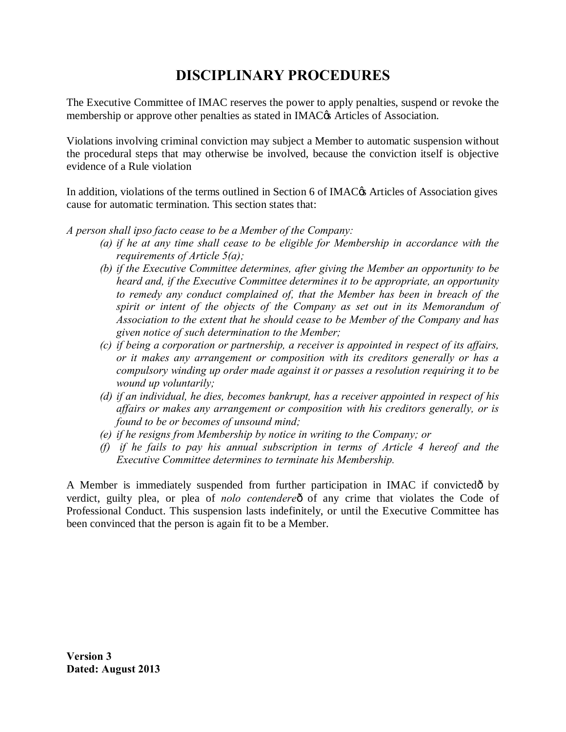# **DISCIPLINARY PROCEDURES**

The Executive Committee of IMAC reserves the power to apply penalties, suspend or revoke the membership or approve other penalties as stated in IMAC $\alpha$  Articles of Association.

Violations involving criminal conviction may subject a Member to automatic suspension without the procedural steps that may otherwise be involved, because the conviction itself is objective evidence of a Rule violation

In addition, violations of the terms outlined in Section 6 of IMAC $\alpha$ s Articles of Association gives cause for automatic termination. This section states that:

## *A person shall ipso facto cease to be a Member of the Company:*

- *(a) if he at any time shall cease to be eligible for Membership in accordance with the requirements of Article 5(a);*
- *(b) if the Executive Committee determines, after giving the Member an opportunity to be heard and, if the Executive Committee determines it to be appropriate, an opportunity to remedy any conduct complained of, that the Member has been in breach of the spirit or intent of the objects of the Company as set out in its Memorandum of Association to the extent that he should cease to be Member of the Company and has given notice of such determination to the Member;*
- *(c) if being a corporation or partnership, a receiver is appointed in respect of its affairs, or it makes any arrangement or composition with its creditors generally or has a compulsory winding up order made against it or passes a resolution requiring it to be wound up voluntarily;*
- *(d) if an individual, he dies, becomes bankrupt, has a receiver appointed in respect of his affairs or makes any arrangement or composition with his creditors generally, or is found to be or becomes of unsound mind;*
- *(e) if he resigns from Membership by notice in writing to the Company; or*
- *(f) if he fails to pay his annual subscription in terms of Article 4 hereof and the Executive Committee determines to terminate his Membership.*

A Member is immediately suspended from further participation in IMAC if convicted oby verdict, guilty plea, or plea of *nolo contendere*ô of any crime that violates the Code of Professional Conduct. This suspension lasts indefinitely, or until the Executive Committee has been convinced that the person is again fit to be a Member.